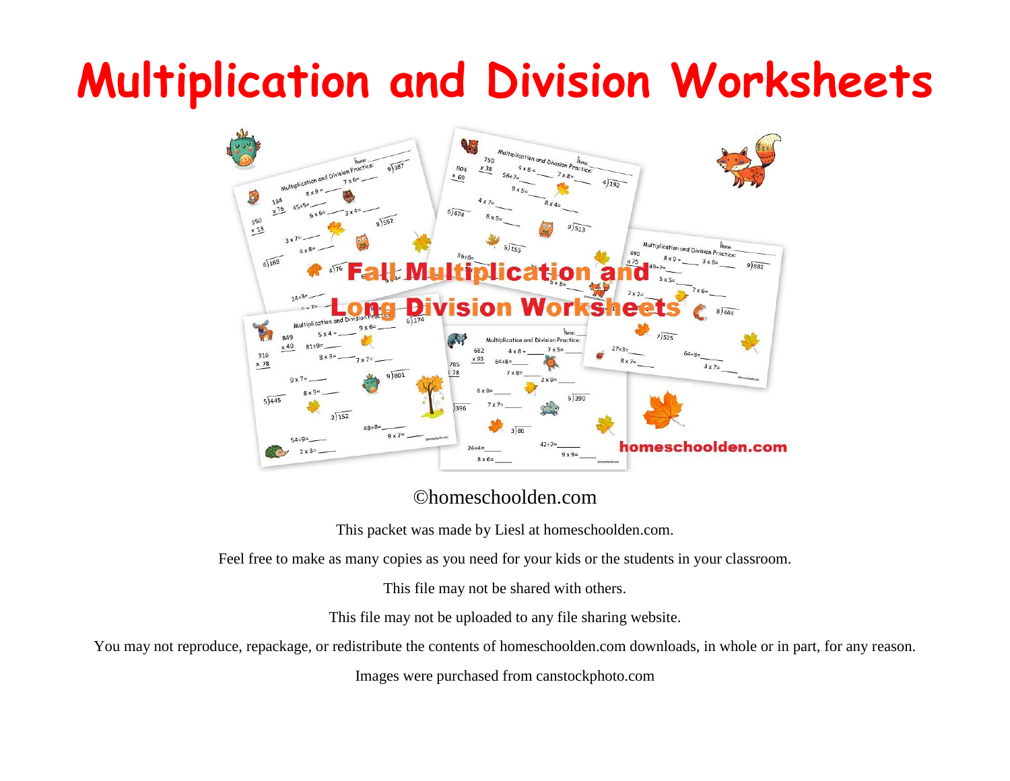## **Multiplication and Division Worksheets**



©homeschoolden.com

This packet was made by Liesl at homeschoolden.com.

Feel free to make as many copies as you need for your kids or the students in your classroom.

This file may not be shared with others.

This file may not be uploaded to any file sharing website.

You may not reproduce, repackage, or redistribute the contents of homeschoolden.com downloads, in whole or in part, for any reason.

Images were purchased from canstockphoto.com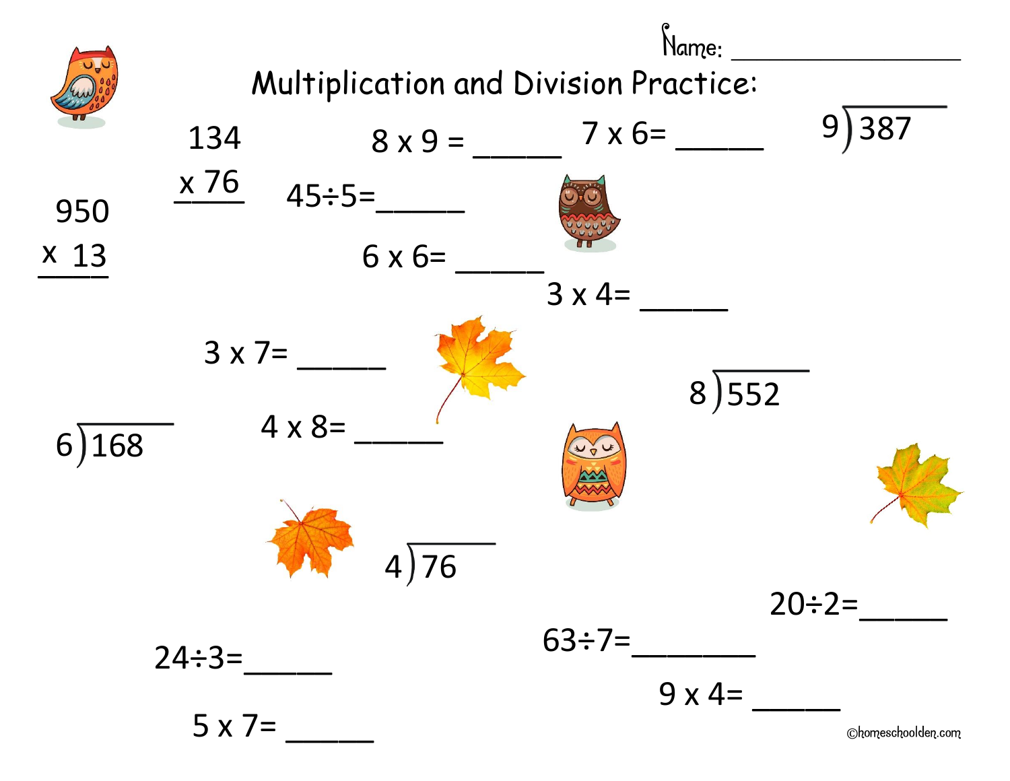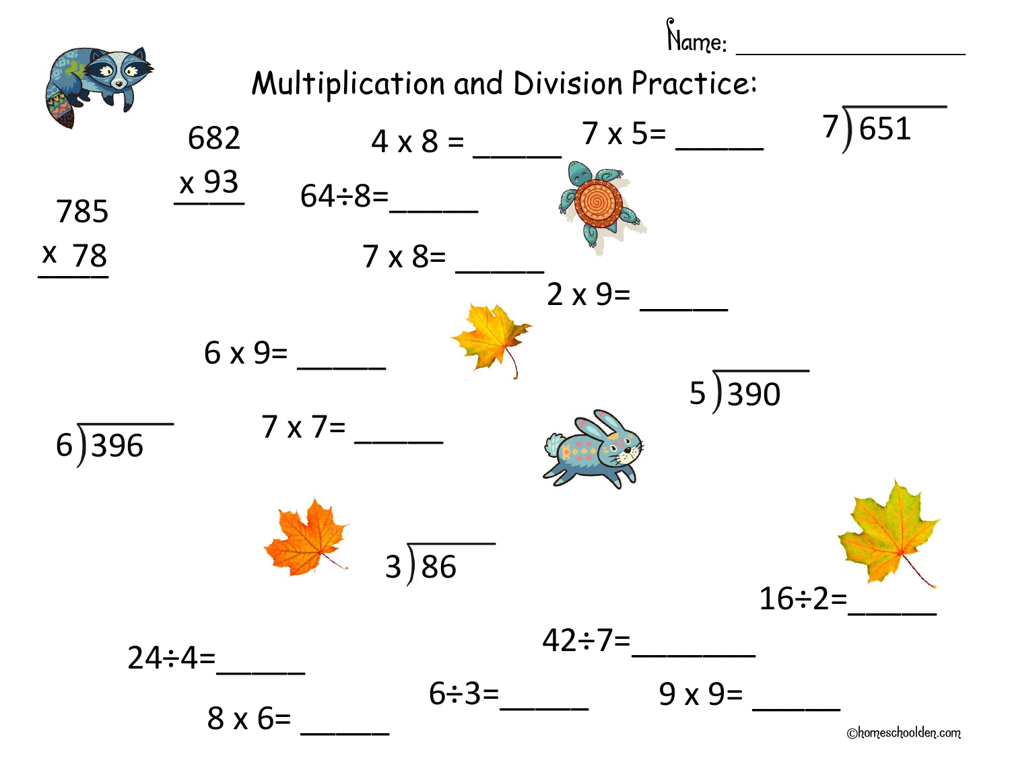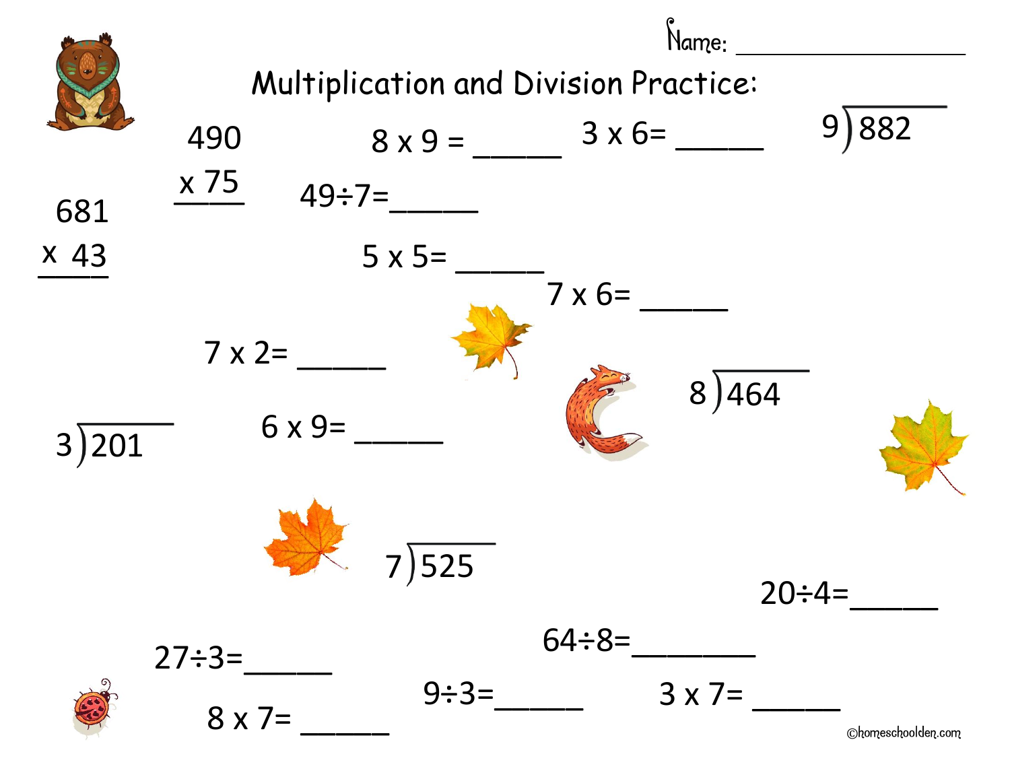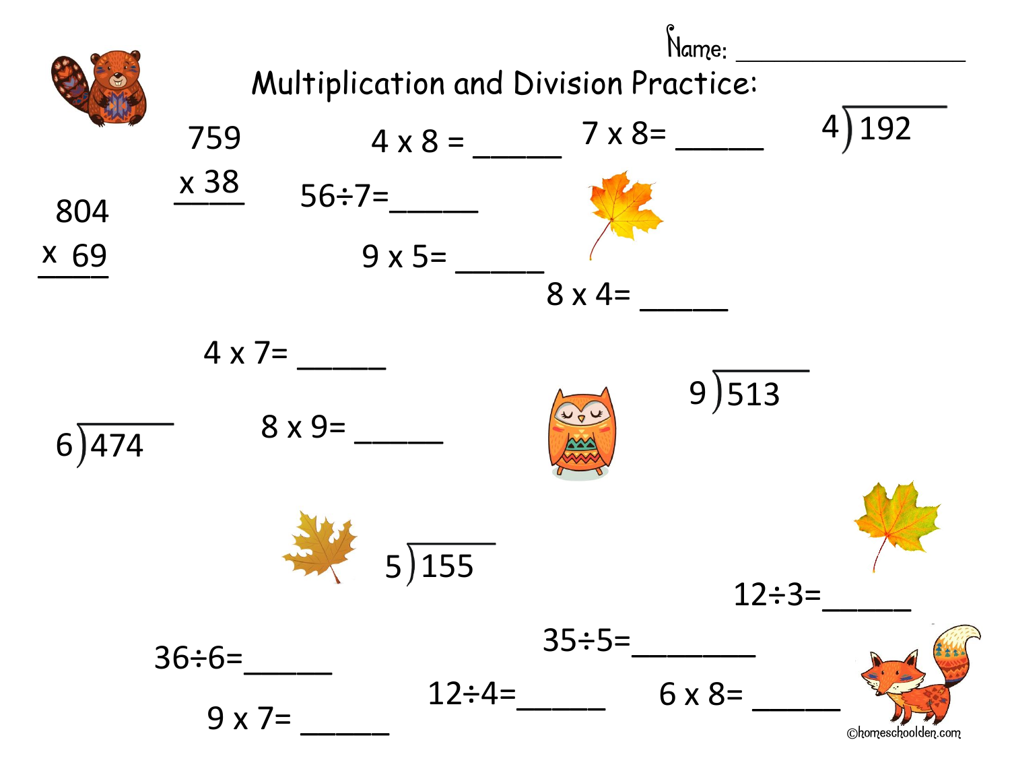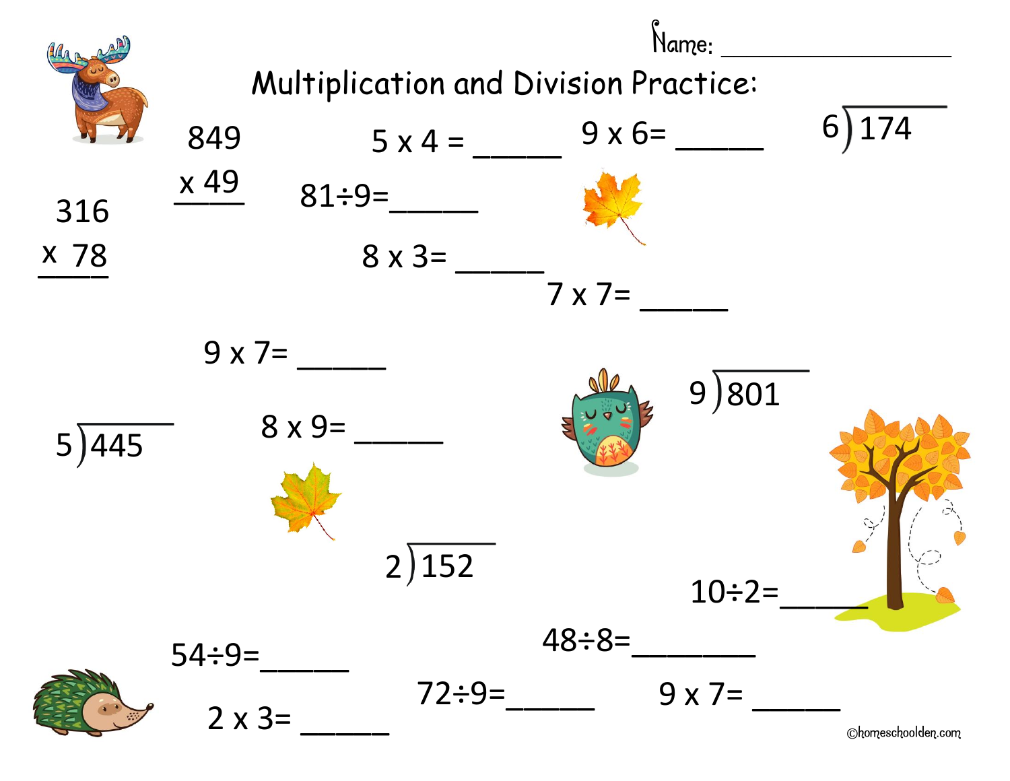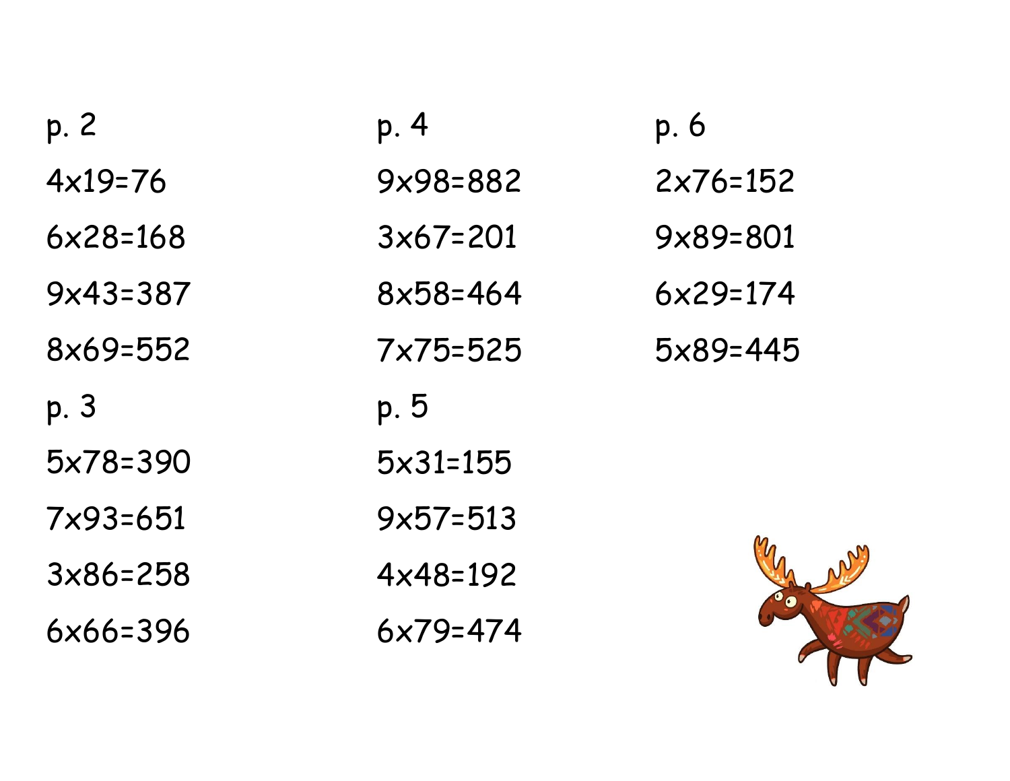| p. 2       | p. 4                | p.6        |
|------------|---------------------|------------|
| $4x19=76$  | 9x98=882            | $2x76=152$ |
| $6x28=168$ | $3x67=201$          | 9x89=801   |
| $9x43=387$ | $8x58=464$          | $6x29=174$ |
| 8x69=552   | $7x75=525$          | $5x89=445$ |
| p. 3       | p.5                 |            |
| 5x78=390   | $5 \times 31 = 155$ |            |
| 7×93=651   | $9x57=513$          |            |
| $3x86=258$ | $4x48=192$          |            |
|            |                     |            |